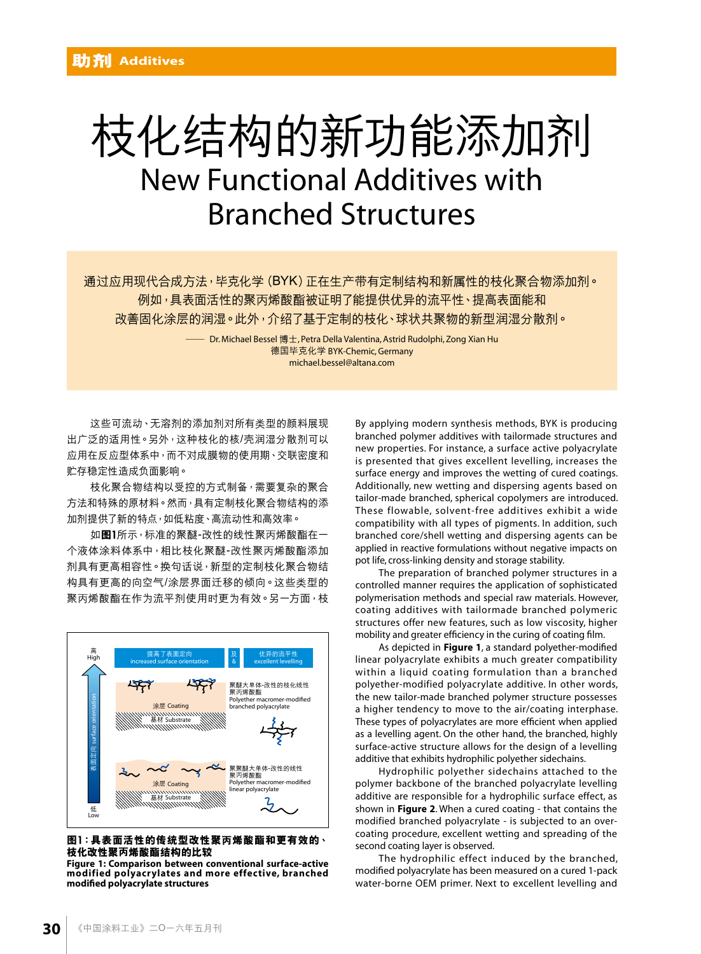# 枝化结构的新功能添加剂 New Functional Additives with Branched Structures

通过应用现代合成方法,毕克化学(BYK)正在生产带有定制结构和新属性的枝化聚合物添加剂。 例如,具表面活性的聚丙烯酸酯被证明了能提供优异的流平性、提高表面能和 改善固化涂层的润湿。此外,介绍了基于定制的枝化、球状共聚物的新型润湿分散剂。

> — Dr. Michael Bessel 博士, Petra Della Valentina, Astrid Rudolphi, Zong Xian Hu 德國畢克化學 BYK-Chemic, Germany michael.bessel@altana.com

这些可流动、无溶剂的添加剂对所有类型的颜料展现 出广泛的适用性。另外,这种枝化的核/壳润湿分散剂可以 应用在反应型体系中,而不对成膜物的使用期、交联密度和 貯存穩定性造成負面影響。

枝化聚合物结构以受控的方式制备,需要复杂的聚合 方法和特殊的原材料。然而,具有定制枝化聚合物结构的添 加剂提供了新的特点,如低粘度、高流动性和高效率。

如图1所示,标准的聚醚-改性的线性聚丙烯酸酯在一 个液体涂料体系中,相比枝化聚醚-改性聚丙烯酸酯添加 剂具有更高相容性。换句话说,新型的定制枝化聚合物结 构具有更高的向空气/涂层界面迁移的倾向。这些类型的 聚丙烯酸酯在作为流平剂使用时更为有效。另一方面,枝



#### **圖**1**:具表面活性的傳統型改性聚**丙**烯酸酯和更有效的、 枝化改性聚**丙**烯酸酯結構的比較**

**Figure 1: Comparison between conventional surface-active modified polyacrylates and more effective, branched modified polyacrylate structures**

By applying modern synthesis methods, BYK is producing branched polymer additives with tailormade structures and new properties. For instance, a surface active polyacrylate is presented that gives excellent levelling, increases the surface energy and improves the wetting of cured coatings. Additionally, new wetting and dispersing agents based on tailor-made branched, spherical copolymers are introduced. These flowable, solvent-free additives exhibit a wide compatibility with all types of pigments. In addition, such branched core/shell wetting and dispersing agents can be applied in reactive formulations without negative impacts on pot life, cross-linking density and storage stability.

The preparation of branched polymer structures in a controlled manner requires the application of sophisticated polymerisation methods and special raw materials. However, coating additives with tailormade branched polymeric structures offer new features, such as low viscosity, higher mobility and greater efficiency in the curing of coating film.

As depicted in **Figure 1**, a standard polyether-modified linear polyacrylate exhibits a much greater compatibility within a liquid coating formulation than a branched polyether-modified polyacrylate additive. In other words, the new tailor-made branched polymer structure possesses a higher tendency to move to the air/coating interphase. These types of polyacrylates are more efficient when applied as a levelling agent. On the other hand, the branched, highly surface-active structure allows for the design of a levelling additive that exhibits hydrophilic polyether sidechains.

Hydrophilic polyether sidechains attached to the polymer backbone of the branched polyacrylate levelling additive are responsible for a hydrophilic surface effect, as shown in **Figure 2**. When a cured coating - that contains the modified branched polyacrylate - is subjected to an overcoating procedure, excellent wetting and spreading of the second coating layer is observed.

The hydrophilic effect induced by the branched, modified polyacrylate has been measured on a cured 1-pack water-borne OEM primer. Next to excellent levelling and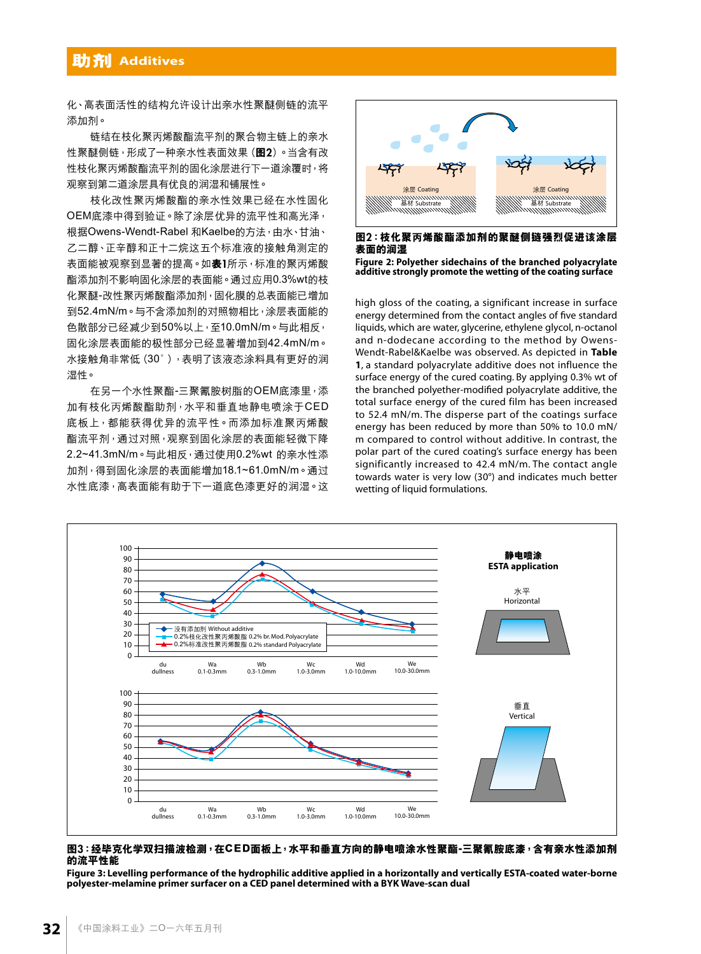### **助劑 Additives**

化、高表面活性的结构允许设计出亲水性聚醚侧链的流平 添加劑。

链结在枝化聚丙烯酸酯流平剂的聚合物主链上的亲水 性聚醚侧链,形成了一种亲水性表面效果(图2)。当含有改 性枝化聚丙烯酸酯流平剂的固化涂层进行下一道涂覆时,将 观察到第二道涂层具有优良的润湿和铺展性。

枝化改性聚丙烯酸酯的亲水性效果已经在水性固化 OEM底漆中得到验证。除了涂层优异的流平性和高光泽, 根據Owens-Wendt-Rabel 和Kaelbe的方法,由水、甘油、 乙二醇、正辛醇和正十二烷这五个标准液的接触角测定的 表面能被观察到显著的提高。如**表1**所示,标准的聚丙烯酸 酯添加剂不影响固化涂层的表面能。通过应用0.3%wt的枝 化聚醚-改性聚丙烯酸酯添加剂,固化膜的总表面能已增加 到52.4mN/m。与不含添加剂的对照物相比,涂层表面能的 色散部分已经减少到50%以上,至10.0mN/m。与此相反, 固化塗層表面能的極性部分已經顯著增加到42.4mN/m。 水接触角非常低(30°),表明了该液态涂料具有更好的润 濕性。

在另一个水性聚酯-三聚氰胺树脂的OEM底漆里,添 加有枝化丙烯酸酯助剂,水平和垂直地静电喷涂于CED 底板上,都能获得优异的流平性。而添加标准聚丙烯酸 酯流平剂,通过对照,观察到固化涂层的表面能轻微下降 2.2~41.3mN/m。与此相反, 通过使用0.2%wt 的亲水性添 加剂,得到固化涂层的表面能增加18.1~61.0mN/m。通过 水性底漆,高表面能有助干下一道底色漆更好的润湿。这



**圖**2**:枝化聚**丙**烯酸酯添加劑的聚醚側鏈強烈促進該塗層 表面的潤濕**

**Figure 2: Polyether sidechains of the branched polyacrylate additive strongly promote the wetting of the coating surface**

high gloss of the coating, a significant increase in surface energy determined from the contact angles of five standard liquids, which are water, glycerine, ethylene glycol, n-octanol and n-dodecane according to the method by Owens-Wendt-Rabel&Kaelbe was observed. As depicted in **Table 1**, a standard polyacrylate additive does not influence the surface energy of the cured coating. By applying 0.3% wt of the branched polyether-modified polyacrylate additive, the total surface energy of the cured film has been increased to 52.4 mN/m. The disperse part of the coatings surface energy has been reduced by more than 50% to 10.0 mN/ m compared to control without additive. In contrast, the polar part of the cured coating's surface energy has been significantly increased to 42.4 mN/m. The contact angle towards water is very low (30°) and indicates much better wetting of liquid formulations.



#### 图3:经毕克化学双扫描波检测,在CED面板上,水平和垂直方向的静电喷涂水性聚酯-三聚氰胺底漆,含有亲水性添加剂 **的流平性能**

**Figure 3: Levelling performance of the hydrophilic additive applied in a horizontally and vertically ESTA-coated water-borne polyester-melamine primer surfacer on a CED panel determined with a BYK Wave-scan dual**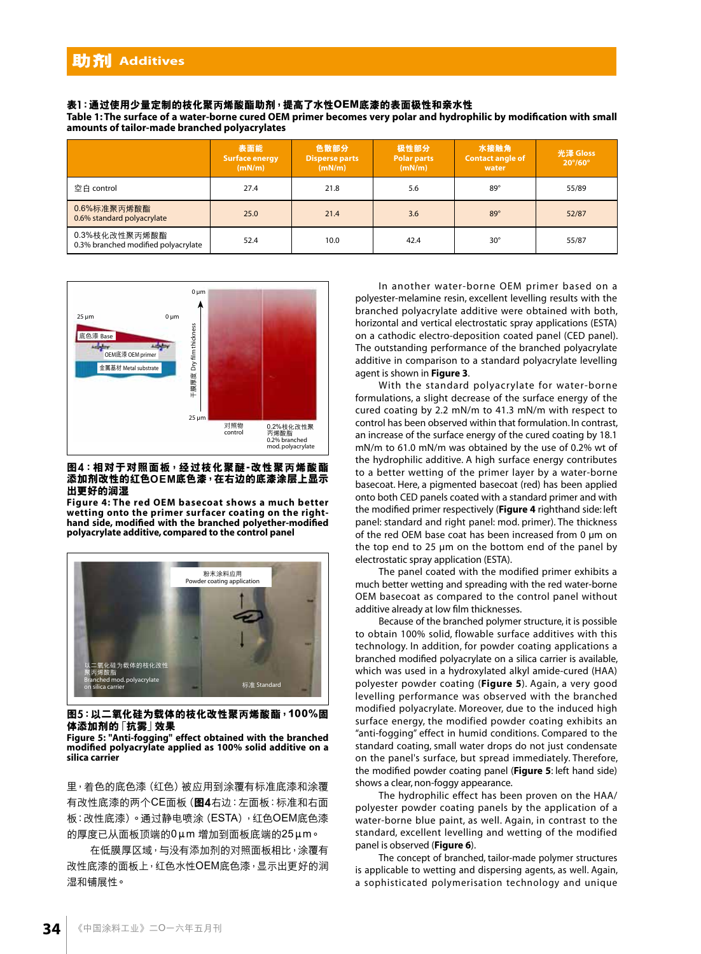#### **表**1**:通過使用少量定製的枝化聚**丙**烯酸酯助劑,提高了水性OEM底漆的表面極性和親水性**

**Table 1: The surface of a water-borne cured OEM primer becomes very polar and hydrophilic by modification with small amounts of tailor-made branched polyacrylates**

|                                                      | 表面能<br><b>Surface energy</b><br>(mN/m) | 色散部分<br><b>Disperse parts</b><br>(mN/m) | 极性部分<br><b>Polar parts</b><br>(mN/m) | 水接触角<br><b>Contact angle of</b><br>water | 光泽 Gloss<br>$20^{\circ}/60^{\circ}$ |
|------------------------------------------------------|----------------------------------------|-----------------------------------------|--------------------------------------|------------------------------------------|-------------------------------------|
| 空白 control                                           | 27.4                                   | 21.8                                    | 5.6                                  | $89^\circ$                               | 55/89                               |
| 0.6%标准聚丙烯酸酯<br>0.6% standard polyacrylate            | 25.0                                   | 21.4                                    | 3.6                                  | $89^\circ$                               | 52/87                               |
| 0.3%枝化改性聚丙烯酸酯<br>0.3% branched modified polyacrylate | 52.4                                   | 10.0                                    | 42.4                                 | $30^\circ$                               | 55/87                               |



#### 图4:相对于对照面板,经过枝化聚醚-改性聚丙烯酸酯 **添加劑改性的紅色OEM底色漆,在右邊的底漆塗層上顯示 出更好的潤濕**

**Figure 4: The red OEM basecoat shows a much better wetting onto the primer surfacer coating on the righthand side, modified with the branched polyether-modified polyacrylate additive, compared to the control panel**



#### 图5:以二氧化硅为载体的枝化改性聚丙烯酸酯,100%固 **體添加劑的**「**抗霧**」**效果**

**Figure 5: "Anti-fogging" effect obtained with the branched modified polyacrylate applied as 100% solid additive on a silica carrier**

里,着色的底色漆(红色)被应用到涂覆有标准底漆和涂覆 有改性底漆的兩個CE面板(**圖**4右邊:左面板:標準和右面 板:改性底漆)。通过静电喷涂(ESTA),红色OEM底色漆 的厚度已從面板頂端的0μm 增加到面板底端的25μm。

在低膜厚区域,与没有添加剂的对照面板相比,涂覆有 改性底漆的面板上,红色水性OEM底色漆,显示出更好的润 濕和鋪展性。

In another water-borne OEM primer based on a polyester-melamine resin, excellent levelling results with the branched polyacrylate additive were obtained with both, horizontal and vertical electrostatic spray applications (ESTA) on a cathodic electro-deposition coated panel (CED panel). The outstanding performance of the branched polyacrylate additive in comparison to a standard polyacrylate levelling agent is shown in **Figure 3**.

With the standard polyacrylate for water-borne formulations, a slight decrease of the surface energy of the cured coating by 2.2 mN/m to 41.3 mN/m with respect to control has been observed within that formulation. In contrast, an increase of the surface energy of the cured coating by 18.1 mN/m to 61.0 mN/m was obtained by the use of 0.2% wt of the hydrophilic additive. A high surface energy contributes to a better wetting of the primer layer by a water-borne basecoat. Here, a pigmented basecoat (red) has been applied onto both CED panels coated with a standard primer and with the modified primer respectively (**Figure 4** righthand side: left panel: standard and right panel: mod. primer). The thickness of the red OEM base coat has been increased from 0 µm on the top end to 25 µm on the bottom end of the panel by electrostatic spray application (ESTA).

The panel coated with the modified primer exhibits a much better wetting and spreading with the red water-borne OEM basecoat as compared to the control panel without additive already at low film thicknesses.

Because of the branched polymer structure, it is possible to obtain 100% solid, flowable surface additives with this technology. In addition, for powder coating applications a branched modified polyacrylate on a silica carrier is available, which was used in a hydroxylated alkyl amide-cured (HAA) polyester powder coating (**Figure 5**). Again, a very good levelling performance was observed with the branched modified polyacrylate. Moreover, due to the induced high surface energy, the modified powder coating exhibits an "anti-fogging" effect in humid conditions. Compared to the standard coating, small water drops do not just condensate on the panel's surface, but spread immediately. Therefore, the modified powder coating panel (**Figure 5**: left hand side) shows a clear, non-foggy appearance.

The hydrophilic effect has been proven on the HAA/ polyester powder coating panels by the application of a water-borne blue paint, as well. Again, in contrast to the standard, excellent levelling and wetting of the modified panel is observed (**Figure 6**).

The concept of branched, tailor-made polymer structures is applicable to wetting and dispersing agents, as well. Again, a sophisticated polymerisation technology and unique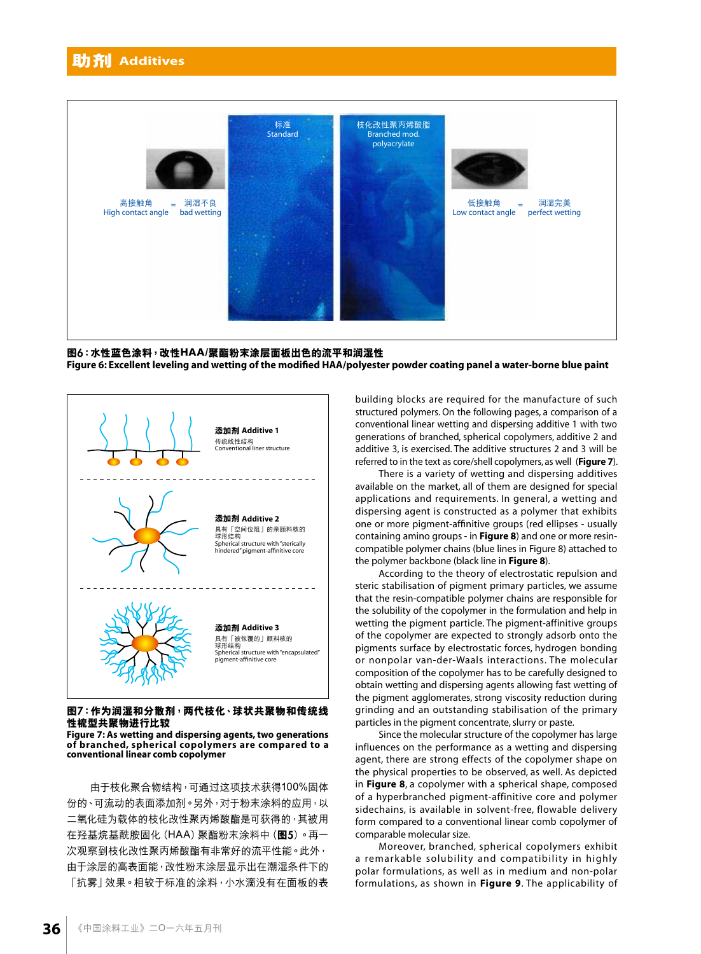

**圖**6**:水性藍色塗料,改性HAA/聚酯粉末塗層面板出色的流平和潤濕性 Figure 6: Excellent leveling and wetting of the modified HAA/polyester powder coating panel a water-borne blue paint**



#### **圖**7**:作為潤濕和分散劑,兩代枝化、球狀共聚物和傳統線 性梳型共聚物進行比較**

**Figure 7: As wetting and dispersing agents, two generations of branched, spherical copolymers are compared to a conventional linear comb copolymer**

由于枝化聚合物结构,可通过这项技术获得100%固体 份的、可流动的表面添加剂。另外,对于粉末涂料的应用,以 二氧化硅为载体的枝化改性聚丙烯酸酯是可获得的,其被用 在羥基烷基酰胺固化(HAA)聚酯粉末塗料中(**圖**5)。再一 次觀察到枝化改性聚丙烯酸酯有非常好的流平性能。此外, 由于涂层的高表面能,改性粉末涂层显示出在潮湿条件下的 「抗雾」效果。相较于标准的涂料,小水滴没有在面板的表 building blocks are required for the manufacture of such structured polymers. On the following pages, a comparison of a conventional linear wetting and dispersing additive 1 with two generations of branched, spherical copolymers, additive 2 and additive 3, is exercised. The additive structures 2 and 3 will be referred to in the text as core/shell copolymers, as well (**Figure 7**).

There is a variety of wetting and dispersing additives available on the market, all of them are designed for special applications and requirements. In general, a wetting and dispersing agent is constructed as a polymer that exhibits one or more pigment-affinitive groups (red ellipses - usually containing amino groups - in **Figure 8**) and one or more resincompatible polymer chains (blue lines in Figure 8) attached to the polymer backbone (black line in **Figure 8**).

According to the theory of electrostatic repulsion and steric stabilisation of pigment primary particles, we assume that the resin-compatible polymer chains are responsible for the solubility of the copolymer in the formulation and help in wetting the pigment particle. The pigment-affinitive groups of the copolymer are expected to strongly adsorb onto the pigments surface by electrostatic forces, hydrogen bonding or nonpolar van-der-Waals interactions. The molecular composition of the copolymer has to be carefully designed to obtain wetting and dispersing agents allowing fast wetting of the pigment agglomerates, strong viscosity reduction during grinding and an outstanding stabilisation of the primary particles in the pigment concentrate, slurry or paste.

Since the molecular structure of the copolymer has large influences on the performance as a wetting and dispersing agent, there are strong effects of the copolymer shape on the physical properties to be observed, as well. As depicted in **Figure 8**, a copolymer with a spherical shape, composed of a hyperbranched pigment-affinitive core and polymer sidechains, is available in solvent-free, flowable delivery form compared to a conventional linear comb copolymer of comparable molecular size.

Moreover, branched, spherical copolymers exhibit a remarkable solubility and compatibility in highly polar formulations, as well as in medium and non-polar formulations, as shown in **Figure 9**. The applicability of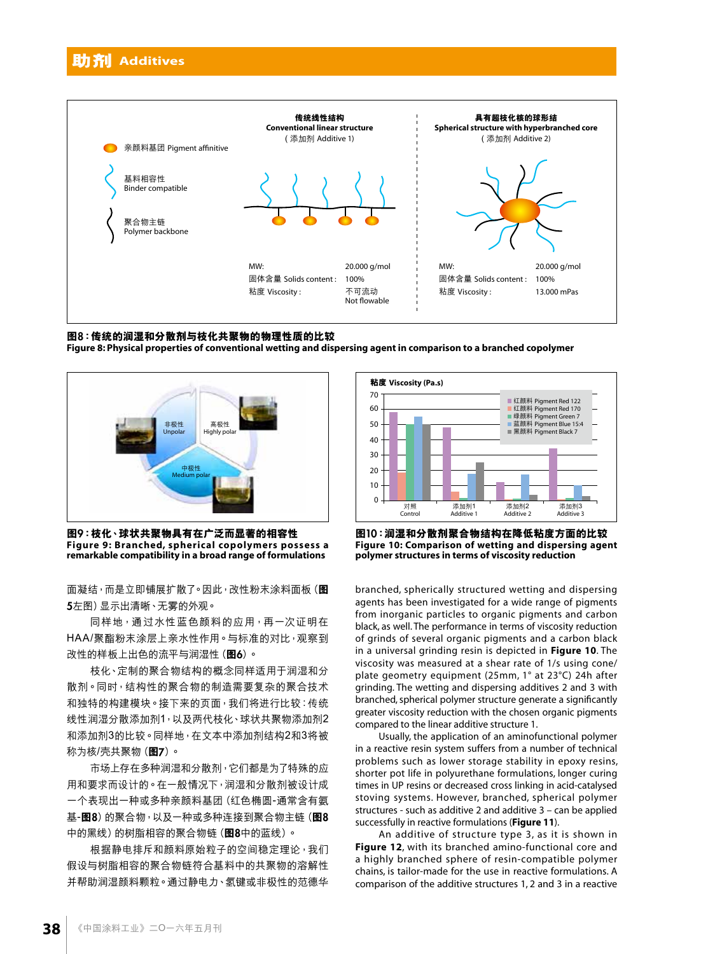

#### **圖**8**:傳統的潤濕和分散劑與枝化共聚物的物理性質的比較**

**Figure 8: Physical properties of conventional wetting and dispersing agent in comparison to a branched copolymer**



图9:枝化、球状共聚物具有在广泛而显著的相容性 **Figure 9: Branched, spherical copolymers possess a remarkable compatibility in a broad range of formulations**

面凝结,而是立即铺展扩散了。因此,改性粉末涂料面板(图 5左图)显示出清晰、无雾的外观。

同样地,通过水性蓝色颜料的应用,再一次证明在 HAA/聚酯粉末涂层上亲水性作用。与标准的对比,观察到 改性的样板上出色的流平与润湿性(图6)。

枝化、定制的聚合物结构的概念同样适用于润湿和分 散劑。同時,結構性的聚合物的製造需要複雜的聚合技術 和独特的构建模块。接下来的页面,我们将进行比较:传统 线性润湿分散添加剂1,以及两代枝化、球状共聚物添加剂2 和添加劑3的比較。同樣地,在文本中添加劑結構2和3將被 稱為核/殼共聚物(**圖**7)。

市场上存在多种润湿和分散剂,它们都是为了特殊的应 用和要求而设计的。在一般情况下,润湿和分散剂被设计成 一个表现出一种或多种亲颜料基团 (红色椭圆-通常含有氨 基-**圖**8)的聚合物,以及一種或多種連接到聚合物主鏈(**圖**8 中的黑線)的樹脂相容的聚合物鏈(**圖**8中的藍線)。

根据静电排斥和颜料原始粒子的空间稳定理论,我们 假设与树脂相容的聚合物链符合基料中的共聚物的溶解性 并帮助润湿颜料颗粒。通过静电力、氢键或非极性的范德华



**圖**10**:潤濕和分散劑聚合物結構在降低粘度方面的比較 Figure 10: Comparison of wetting and dispersing agent polymer structures in terms of viscosity reduction**

branched, spherically structured wetting and dispersing agents has been investigated for a wide range of pigments from inorganic particles to organic pigments and carbon black, as well. The performance in terms of viscosity reduction of grinds of several organic pigments and a carbon black in a universal grinding resin is depicted in **Figure 10**. The viscosity was measured at a shear rate of 1/s using cone/ plate geometry equipment (25mm, 1° at 23°C) 24h after grinding. The wetting and dispersing additives 2 and 3 with branched, spherical polymer structure generate a significantly greater viscosity reduction with the chosen organic pigments compared to the linear additive structure 1.

Usually, the application of an aminofunctional polymer in a reactive resin system suffers from a number of technical problems such as lower storage stability in epoxy resins, shorter pot life in polyurethane formulations, longer curing times in UP resins or decreased cross linking in acid-catalysed stoving systems. However, branched, spherical polymer structures - such as additive 2 and additive 3 – can be applied successfully in reactive formulations (**Figure 11**).

An additive of structure type 3, as it is shown in **Figure 12**, with its branched amino-functional core and a highly branched sphere of resin-compatible polymer chains, is tailor-made for the use in reactive formulations. A comparison of the additive structures 1, 2 and 3 in a reactive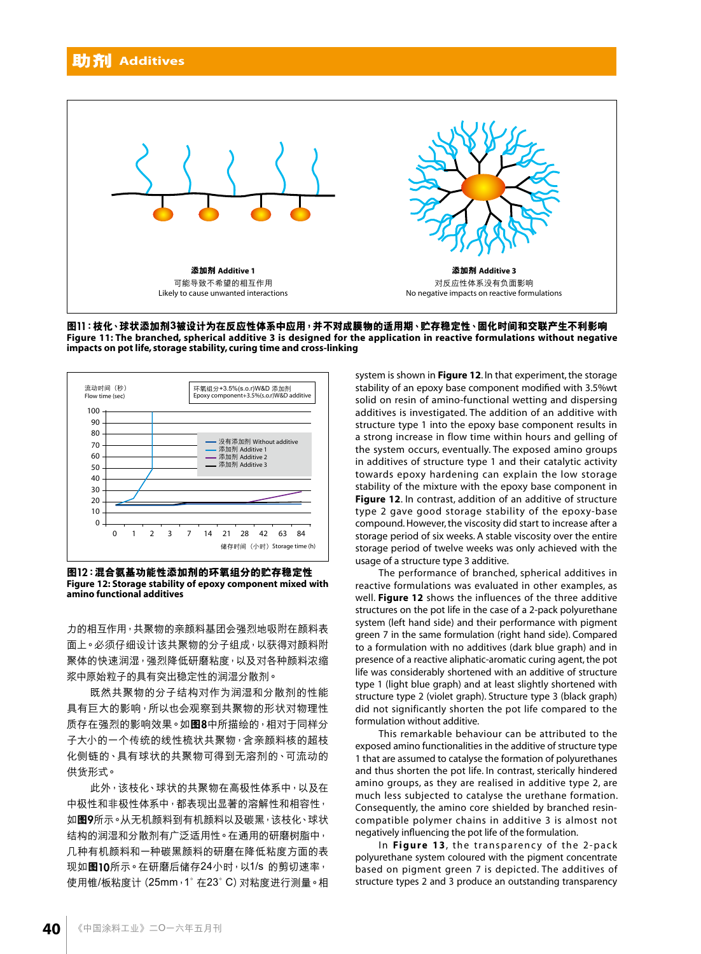

图11:枝化、球状添加剂3被设计为在反应性体系中应用,并不对成膜物的适用期、贮存稳定性、固化时间和交联产生不利影响 **Figure 11: The branched, spherical additive 3 is designed for the application in reactive formulations without negative impacts on pot life, storage stability, curing time and cross-linking**



**圖**12**:混合氨基功能性添加劑的環氧組分的貯存穩定性 Figure 12: Storage stability of epoxy component mixed with amino functional additives**

力的相互作用,共聚物的亲颜料基团会强烈地吸附在颜料表 面上。必须仔细设计该共聚物的分子组成,以获得对颜料附 聚体的快速润湿,强烈降低研磨粘度,以及对各种颜料浓缩 漿中原始粒子的具有突出穩定性的潤濕分散劑。

既然共聚物的分子结构对作为润湿和分散剂的性能 具有巨大的影响,所以也会观察到共聚物的形状对物理性 质存在强烈的影响效果。如图8中所描绘的,相对于同样分 子大小的一个传统的线性梳状共聚物,含亲颜料核的超枝 化侧链的、具有球状的共聚物可得到无溶剂的、可流动的 供貨形式。

此外,该枝化、球状的共聚物在高极性体系中,以及在 中极性和非极性体系中,都表现出显著的溶解性和相容性, 如图9所示。从无机颜料到有机颜料以及碳黑,该枝化、球状 结构的润湿和分散剂有广泛适用性。在通用的研磨树脂中, 几种有机颜料和一种碳黑颜料的研磨在降低粘度方面的表 现如图10所示。在研磨后储存24小时,以1/s 的剪切速率, 使用錐/板粘度計(25mm,1°在23°C)對粘度進行測量。相 system is shown in **Figure 12**. In that experiment, the storage stability of an epoxy base component modified with 3.5%wt solid on resin of amino-functional wetting and dispersing additives is investigated. The addition of an additive with structure type 1 into the epoxy base component results in a strong increase in flow time within hours and gelling of the system occurs, eventually. The exposed amino groups in additives of structure type 1 and their catalytic activity towards epoxy hardening can explain the low storage stability of the mixture with the epoxy base component in **Figure 12**. In contrast, addition of an additive of structure type 2 gave good storage stability of the epoxy-base compound. However, the viscosity did start to increase after a storage period of six weeks. A stable viscosity over the entire storage period of twelve weeks was only achieved with the usage of a structure type 3 additive.

The performance of branched, spherical additives in reactive formulations was evaluated in other examples, as well. **Figure 12** shows the influences of the three additive structures on the pot life in the case of a 2-pack polyurethane system (left hand side) and their performance with pigment green 7 in the same formulation (right hand side). Compared to a formulation with no additives (dark blue graph) and in presence of a reactive aliphatic-aromatic curing agent, the pot life was considerably shortened with an additive of structure type 1 (light blue graph) and at least slightly shortened with structure type 2 (violet graph). Structure type 3 (black graph) did not significantly shorten the pot life compared to the formulation without additive.

This remarkable behaviour can be attributed to the exposed amino functionalities in the additive of structure type 1 that are assumed to catalyse the formation of polyurethanes and thus shorten the pot life. In contrast, sterically hindered amino groups, as they are realised in additive type 2, are much less subjected to catalyse the urethane formation. Consequently, the amino core shielded by branched resincompatible polymer chains in additive 3 is almost not negatively influencing the pot life of the formulation.

In **Figure 13**, the transparency of the 2-pack polyurethane system coloured with the pigment concentrate based on pigment green 7 is depicted. The additives of structure types 2 and 3 produce an outstanding transparency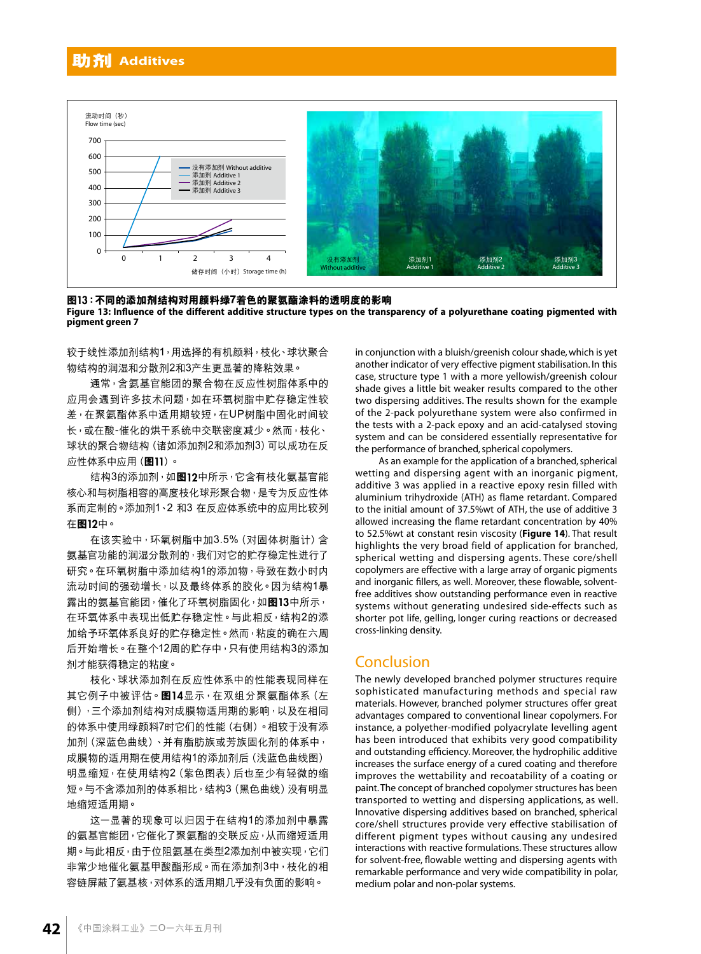



**圖**13**:不同的添加劑結構對用顏料綠7**着**色的聚氨酯塗料的透明度的影響**

**Figure 13: Influence of the different additive structure types on the transparency of a polyurethane coating pigmented with pigment green 7**

较于线性添加剂结构1,用选择的有机颜料,枝化、球状聚合 物结构的润湿和分散剂2和3产生更显著的降粘效果。

通常,含氨基官能团的聚合物在反应性树脂体系中的 应用会遇到许多技术问题,如在环氧树脂中贮存稳定性较 差,在聚氨酯体系中适用期较短,在UP树脂中固化时间较 長,或在酸-催化的烘干系統中交聯密度減少。然而,枝化、 球状的聚合物结构 (诸如添加剂2和添加剂3) 可以成功在反 應性體系中應用(**圖**11)。

結構3的添加劑,如**圖**12中所示,它含有枝化氨基官能 核心和与树脂相容的高度枝化球形聚合物,是专为反应性体 系而定制的。添加剂1、2 和3 在反应体系统中的应用比较列 在**圖**12中。

在该实验中,环氧树脂中加3.5%(对固体树脂计)含 氨基官功能的潤濕分散劑的,我們對它的貯存穩定性進行了 研究。在环氧树脂中添加结构1的添加物,导致在数小时内 流动时间的强劲增长,以及最终体系的胶化。因为结构1暴 露出的氨基官能团,催化了环氧树脂固化,如图13中所示, 在环氧体系中表现出低贮存稳定性。与此相反,结构2的添 加给予环氧体系良好的贮存稳定性。然而,粘度的确在六周 后开始增长。在整个12周的贮存中,只有使用结构3的添加 劑才能獲得穩定的粘度。

枝化、球状添加剂在反应性体系中的性能表现同样在 其它例子中被评估。图14显示, 在双组分聚氨酯体系(左 侧),三个添加剂结构对成膜物适用期的影响,以及在相同 的体系中使用绿颜料7时它们的性能(右侧)。相较于没有添 加剂(深蓝色曲线)、并有脂肪族或芳族固化剂的体系中, 成膜物的话用期在使用结构1的添加剂后 (浅蓝色曲线图) 明显缩短,在使用结构2(紫色图表)后也至少有轻微的缩 短。与不含添加剂的体系相比,结构3(黑色曲线)没有明显 地縮短適用期。

这一显著的现象可以归因于在结构1的添加剂中暴露 的氨基官能团,它催化了聚氨酯的交联反应,从而缩短适用 期。与此相反,由于位阻氨基在类型2添加剂中被实现,它们 非常少地催化氨基甲酸酯形成。而在添加劑3中,枝化的相 容链屏蔽了氨基核,对体系的适用期几乎没有负面的影响。

in conjunction with a bluish/greenish colour shade, which is yet another indicator of very effective pigment stabilisation. In this case, structure type 1 with a more yellowish/greenish colour shade gives a little bit weaker results compared to the other two dispersing additives. The results shown for the example of the 2-pack polyurethane system were also confirmed in the tests with a 2-pack epoxy and an acid-catalysed stoving system and can be considered essentially representative for the performance of branched, spherical copolymers.

As an example for the application of a branched, spherical wetting and dispersing agent with an inorganic pigment, additive 3 was applied in a reactive epoxy resin filled with aluminium trihydroxide (ATH) as flame retardant. Compared to the initial amount of 37.5%wt of ATH, the use of additive 3 allowed increasing the flame retardant concentration by 40% to 52.5%wt at constant resin viscosity (**Figure 14**). That result highlights the very broad field of application for branched, spherical wetting and dispersing agents. These core/shell copolymers are effective with a large array of organic pigments and inorganic fillers, as well. Moreover, these flowable, solventfree additives show outstanding performance even in reactive systems without generating undesired side-effects such as shorter pot life, gelling, longer curing reactions or decreased cross-linking density.

## Conclusion

The newly developed branched polymer structures require sophisticated manufacturing methods and special raw materials. However, branched polymer structures offer great advantages compared to conventional linear copolymers. For instance, a polyether-modified polyacrylate levelling agent has been introduced that exhibits very good compatibility and outstanding efficiency. Moreover, the hydrophilic additive increases the surface energy of a cured coating and therefore improves the wettability and recoatability of a coating or paint. The concept of branched copolymer structures has been transported to wetting and dispersing applications, as well. Innovative dispersing additives based on branched, spherical core/shell structures provide very effective stabilisation of different pigment types without causing any undesired interactions with reactive formulations. These structures allow for solvent-free, flowable wetting and dispersing agents with remarkable performance and very wide compatibility in polar, medium polar and non-polar systems.